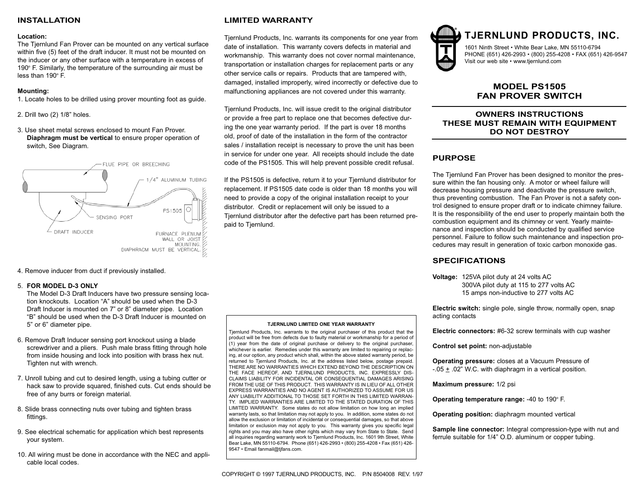## **INSTALLATION**

#### **Location:**

The Tjernlund Fan Prover can be mounted on any vertical surface within five (5) feet of the draft inducer. It must not be mounted on the inducer or any other surface with a temperature in excess of 190 $\degree$  F. Similarly, the temperature of the surrounding air must be less than  $190^\circ$  F.

#### **Mounting:**

1. Locate holes to be drilled using prover mounting foot as guide.

2. Drill two (2) 1/8" holes.

3. Use sheet metal screws enclosed to mount Fan Prover. **Diaphragm must be vertical** to ensure proper operation of switch, See Diagram.



4. Remove inducer from duct if previously installed.

#### 5. **FOR MODEL D-3 ONLY**

The Model D-3 Draft Inducers have two pressure sensing location knockouts. Location "A" should be used when the D-3 Draft Inducer is mounted on 7" or 8" diameter pipe. Location "B" should be used when the D-3 Draft Inducer is mounted on 5" or 6" diameter pipe.

- 6. Remove Draft Inducer sensing port knockout using a blade screwdriver and a pliers. Push male brass fitting through hole from inside housing and lock into position with brass hex nut. Tighten nut with wrench.
- 7. Unroll tubing and cut to desired length, using a tubing cutter or hack saw to provide squared, finished cuts. Cut ends should be free of any burrs or foreign material.
- 8. Slide brass connecting nuts over tubing and tighten brass fittings.
- 9. See electrical schematic for application which best represents your system.
- 10. All wiring must be done in accordance with the NEC and applicable local codes.

# **LIMITED WARRANTY**

Tjernlund Products, Inc. warrants its components for one year from date of installation. This warranty covers defects in material and workmanship. This warranty does not cover normal maintenance, transportation or installation charges for replacement parts or any other service calls or repairs. Products that are tampered with, damaged, installed improperly, wired incorrectly or defective due to malfunctioning appliances are not covered under this warranty.

Tjernlund Products, Inc. will issue credit to the original distributor or provide a free part to replace one that becomes defective during the one year warranty period. If the part is over 18 months old, proof of date of the installation in the form of the contractor sales / installation receipt is necessary to prove the unit has been in service for under one year. All receipts should include the date code of the PS1505. This will help prevent possible credit refusal.

If the PS1505 is defective, return it to your Tjernlund distributor for replacement. If PS1505 date code is older than 18 months you will need to provide a copy of the original installation receipt to your distributor. Credit or replacement will only be issued to a Tjernlund distributor after the defective part has been returned prepaid to Tjernlund.

#### **TJERNLUND LIMITED ONE YEAR WARRANTY**

Tjernlund Products, Inc. warrants to the original purchaser of this product that the product will be free from defects due to faulty material or workmanship for a period of (1) year from the date of original purchase or delivery to the original purchaser, whichever is earlier. Remedies under this warranty are limited to repairing or replacing, at our option, any product which shall, within the above stated warranty period, be returned to Tjernlund Products, Inc. at the address listed below, postage prepaid. THERE ARE NO WARRANTIES WHICH EXTEND BEYOND THE DESCRIPTION ON THE FACE HEREOF, AND TJERNLUND PRODUCTS, INC. EXPRESSLY DIS-CLAIMS LIABILITY FOR INCIDENTAL OR CONSEQUENTIAL DAMAGES ARISING FROM THE USE OF THIS PRODUCT. THIS WARRANTY IS IN LIEU OF ALL OTHER EXPRESS WARRANTIES AND NO AGENT IS AUTHORIZED TO ASSUME FOR US ANY LIABILITY ADDITIONAL TO THOSE SET FORTH IN THIS LIMITED WARRAN-TY. IMPLIED WARRANTIES ARE LIMITED TO THE STATED DURATION OF THIS LIMITED WARRANTY. Some states do not allow limitation on how long an implied warranty lasts, so that limitation may not apply to you. In addition, some states do not allow the exclusion or limitation of incidental or consequential damages, so that above limitation or exclusion may not apply to you. This warranty gives you specific legal rights and you may also have other rights which may vary from State to State. Send all inquiries regarding warranty work to Tjernlund Products, Inc. 1601 9th Street, White Bear Lake, MN 55110-6794. Phone (651) 426-2993 • (800) 255-4208 • Fax (651) 426- 9547 • Email fanmail@tjfans.com.



# **TJERNLUND PRODUCTS, INC.**

1601 Ninth Street • White Bear Lake, MN 55110-6794 PHONE (651) 426-2993 • (800) 255-4208 • FAX (651) 426-9547 Visit our web site • www.tjernlund.com

# **MODEL PS1505 FAN PROVER SWITCH**

# **OWNERS INSTRUCTIONS THESE MUST REMAIN WITH EQUIPMENT DO NOT DESTROY**

# **PURPOSE**

The Tjernlund Fan Prover has been designed to monitor the pressure within the fan housing only. A motor or wheel failure will decrease housing pressure and deactivate the pressure switch, thus preventing combustion. The Fan Prover is not a safety control designed to ensure proper draft or to indicate chimney failure. It is the responsibility of the end user to properly maintain both the combustion equipment and its chimney or vent. Yearly maintenance and inspection should be conducted by qualified service personnel. Failure to follow such maintenance and inspection procedures may result in generation of toxic carbon monoxide gas.

## **SPECIFICATIONS**

**Voltage:** 125VA pilot duty at 24 volts AC 300VA pilot duty at 115 to 277 volts AC 15 amps non-inductive to 277 volts AC

**Electric switch:** single pole, single throw, normally open, snap acting contacts

**Electric connectors:** #6-32 screw terminals with cup washer

**Control set point:** non-adjustable

**Operating pressure:** closes at a Vacuum Pressure of  $-05 + 02$ " W.C. with diaphragm in a vertical position.

**Maximum pressure:** 1/2 psi

**Operating temperature range: -40 to 190° F.** 

**Operating position:** diaphragm mounted vertical

**Sample line connector:** Integral compression-type with nut and ferrule suitable for 1/4" O.D. aluminum or copper tubing.